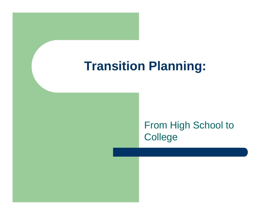## **Transition Planning:**

### From High School to **College**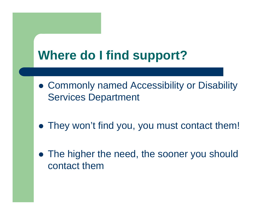# **Where do I find support?**

- Commonly named Accessibility or Disability Services Department
- They won't find you, you must contact them!
- The higher the need, the sooner you should contact them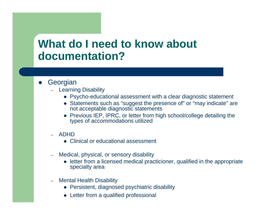### **What do I need to know about documentation?**

- $\bullet$ **Georgian** 
	- Learning Disability
		- Psycho-educational assessment with a clear diagnostic statement
		- Statements such as "suggest the presence of" or "may indicate" are not acceptable diagnostic statements
		- Previous IEP, IPRC, or letter from high school/college detailing the types of accommodations utilized
	- – ADHD
		- Clinical or educational assessment
	- – Medical, physical, or sensory disability
		- letter from a licensed medical practicioner, qualified in the appropriate specialty area
	- – Mental Health Disability
		- Persistent, diagnosed psychiatric disability
		- Letter from a qualified professional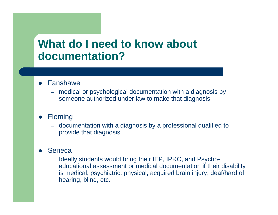## **What do I need to know about documentation?**

- Fanshawe
	- – medical or psychological documentation with a diagnosis by someone authorized under law to make that diagnosis
- $\bullet$ **Fleming** 
	- – documentation with a diagnosis by a professional qualified to provide that diagnosis

#### $\bullet$ Seneca

– Ideally students would bring their IEP, IPRC, and Psychoeducational assessment or medical documentation if their disability is medical, psychiatric, physical, acquired brain injury, deaf/hard of hearing, blind, etc.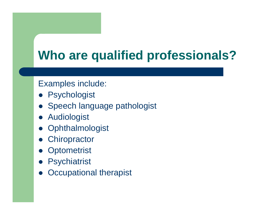# **Who are qualified professionals?**

#### Examples include:

- **Psychologist**
- Speech language pathologist
- **Audiologist**
- Ophthalmologist
- **Chiropractor**
- Optometrist
- Psychiatrist
- $\bullet$ Occupational therapist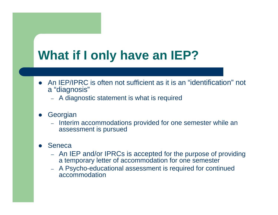# **What if I only have an IEP?**

- An IEP/IPRC is often not sufficient as it is an "identification" not <sup>a</sup>"diagnosis"
	- A diagnostic statement is what is required
- $\bullet$ **Georgian** 
	- Interim accommodations provided for one semester while an assessment is pursued

#### $\bullet$ Seneca

- An IEP and/or IPRCs is accepted for the purpose of providing a temporary letter of accommodation for one semester
- A Psycho-educational assessment is required for continued accommodation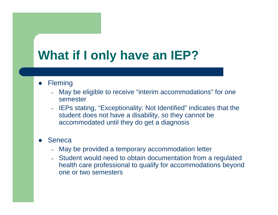## **What if I only have an IEP?**

#### $\bullet$ **Fleming**

- – May be eligible to receive "interim accommodations" for one semester
- IEPs stating, "Exceptionality: Not Identified" indicates that the student does not have a disability, so they cannot be accommodated until they do get a diagnosis

#### $\bullet$ Seneca

- –May be provided a temporary accommodation letter
- – Student would need to obtain documentation from a regulated health care professional to qualify for accommodations beyond one or two semesters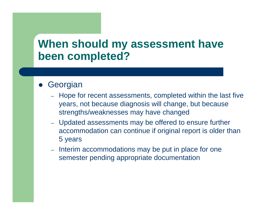## **When should my assessment have been completed?**

#### $\bullet$ **Georgian**

- Hope for recent assessments, completed within the last five years, not because diagnosis will change, but because strengths/weaknesses may have changed
- Updated assessments may be offered to ensure further accommodation can continue if original report is older than 5 years
- Interim accommodations may be put in place for one semester pending appropriate documentation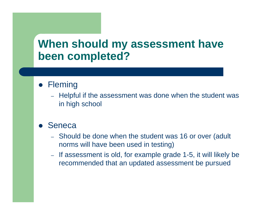## **When should my assessment have been completed?**

### **• Fleming**

– Helpful if the assessment was done when the student was in high school

#### $\bullet$ **Seneca**

- Should be done when the student was 16 or over (adult norms will have been used in testing)
- If assessment is old, for example grade 1-5, it will likely be recommended that an updated assessment be pursued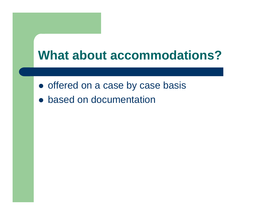## **What about accommodations?**

- offered on a case by case basis
- based on documentation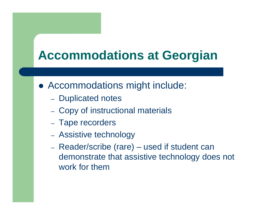## **Accommodations at Georgian**

- Accommodations might include:
	- Duplicated notes
	- Copy of instructional materials
	- Tape recorders
	- Assistive technology
	- Reader/scribe (rare) used if student can demonstrate that assistive technology does not work for them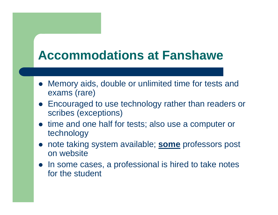## **Accommodations at Fanshawe**

- Memory aids, double or unlimited time for tests and exams (rare)
- Encouraged to use technology rather than readers or scribes (exceptions)
- time and one half for tests; also use a computer or technology
- note taking system available; **some** professors post on website
- In some cases, a professional is hired to take notes for the student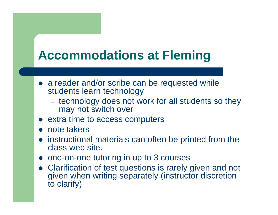## **Accommodations at Fleming**

- a reader and/or scribe can be requested while students learn technology
	- technology does not work for all students so they may not switch over
- extra time to access computers
- $\bullet$ note takers
- instructional materials can often be printed from the class web site.
- one-on-one tutoring in up to 3 courses
- Clarification of test questions is rarely given and not given when writing separately (instructor discretion to clarify)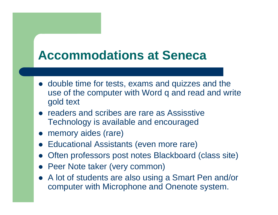## **Accommodations at Seneca**

- double time for tests, exams and quizzes and the use of the computer with Word q and read and write gold text
- readers and scribes are rare as Assisstive Technology is available and encouraged
- memory aides (rare)
- **Educational Assistants (even more rare)**
- Often professors post notes Blackboard (class site)
- Peer Note taker (very common)
- A lot of students are also using a Smart Pen and/or computer with Microphone and Onenote system.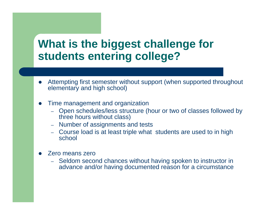## **What is the biggest challenge for students entering college?**

- $\bullet$  Attempting first semester without support (when supported throughout elementary and high school)
- $\bullet$  Time management and organization
	- Open schedules/less structure (hour or two of classes followed by three hours without class)
	- –Number of assignments and tests
	- Course load is at least triple what students are used to in high school
- $\bullet$  Zero means zero
	- – Seldom second chances without having spoken to instructor in advance and/or having documented reason for a circumstance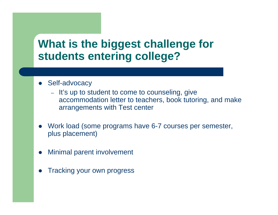## **What is the biggest challenge for students entering college?**

- $\bullet$  Self-advocacy
	- It's up to student to come to counseling, give accommodation letter to teachers, book tutoring, and make arrangements with Test center
- $\bullet$  Work load (some programs have 6-7 courses per semester, plus placement)
- $\bullet$ Minimal parent involvement
- $\bullet$ Tracking your own progress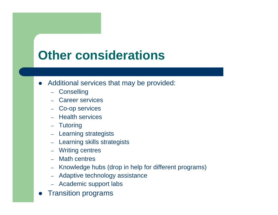## **Other considerations**

- $\bullet$  Additional services that may be provided:
	- –**Conselling**
	- Career services
	- Co-op services
	- Health services
	- Tutoring
	- Learning strategists
	- Learning skills strategists
	- Writing centres
	- Math centres
	- –Knowledge hubs (drop in help for different programs)
	- –Adaptive technology assistance
	- Academic support labs
- Transition programs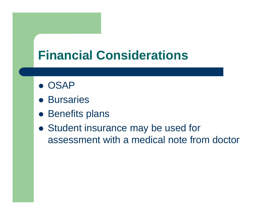## **Financial Considerations**

- **OSAP**
- **Bursaries**
- Benefits plans
- Student insurance may be used for assessment with a medical note from doctor